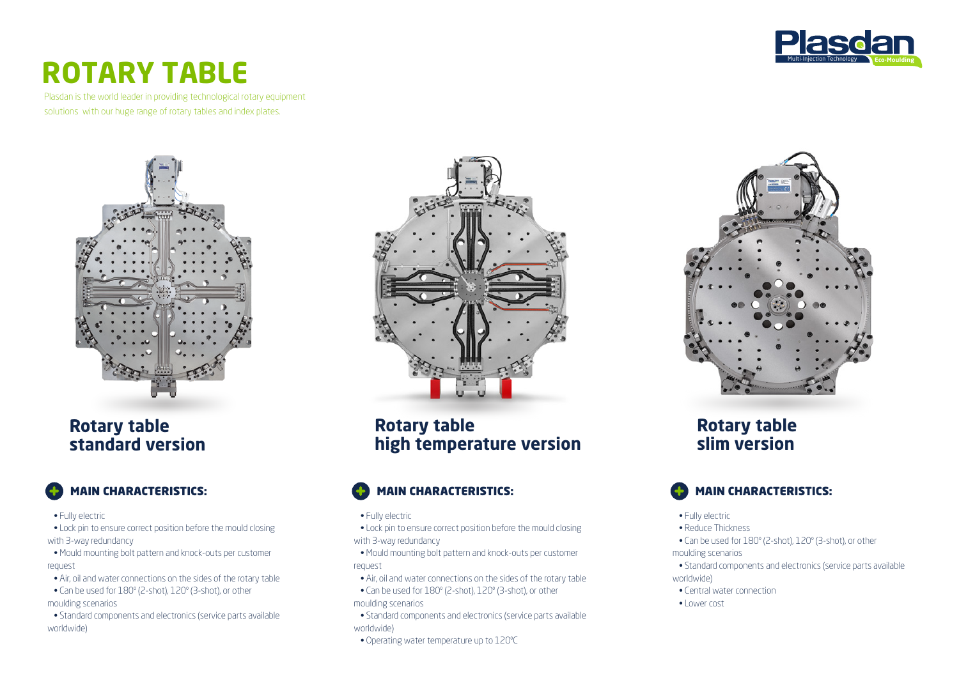

# **ROTARY TABLE**

Plasdan is the world leader in providing technological rotary equipment solutions with our huge range of rotary tables and index plates.



#### **Rotary table standard version**

## MAIN CHARACTERISTICS:

• Fully electric

• Lock pin to ensure correct position before the mould closing with 3-way redundancy

 • Mould mounting bolt pattern and knock-outs per customer request

- Air, oil and water connections on the sides of the rotary table
- Can be used for 180º (2-shot), 120º (3-shot), or other moulding scenarios

 • Standard components and electronics (service parts available worldwide)



**Rotary table high temperature version**

## MAIN CHARACTERISTICS:

#### • Fully electric

 • Lock pin to ensure correct position before the mould closing with 3-way redundancy

 • Mould mounting bolt pattern and knock-outs per customer request

- Air, oil and water connections on the sides of the rotary table
- Can be used for 180º (2-shot), 120º (3-shot), or other moulding scenarios
- Standard components and electronics (service parts available worldwide)
- Operating water temperature up to 120ºC



#### **Rotary table slim version**



• Fully electric

• Reduce Thickness

• Can be used for 180º (2-shot), 120º (3-shot), or other

#### moulding scenarios

- Standard components and electronics (service parts available worldwide)
- Central water connection
- Lower cost